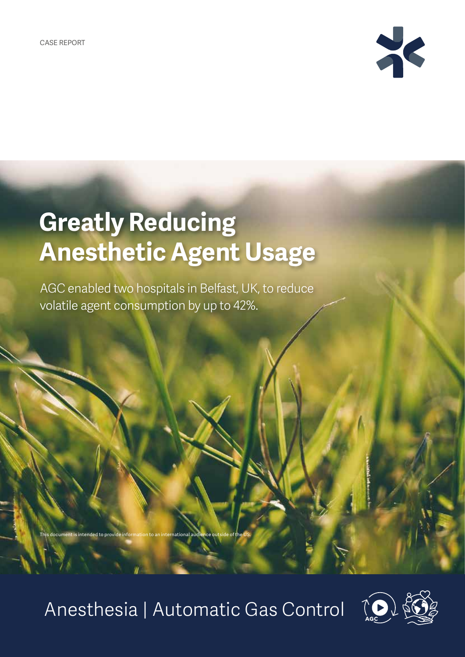This document is intended to provide



# **Greatly Reducing Anesthetic Agent Usage**

AGC enabled two hospitals in Belfast, UK, to reduce volatile agent consumption by up to 42%.

Anesthesia | Automatic Gas Control

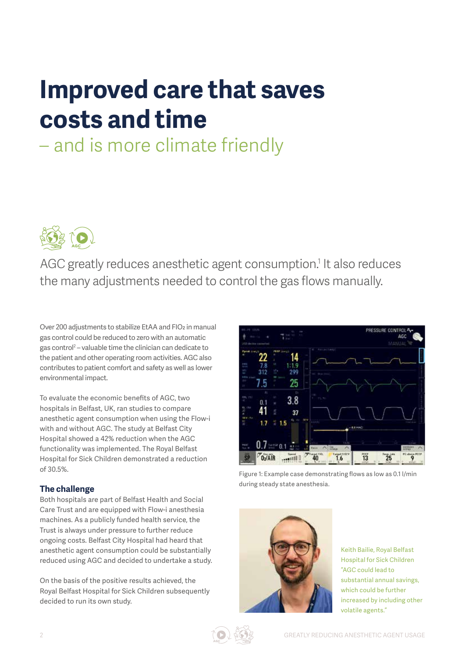# **Improved care that saves costs and time**

## – and is more climate friendly



AGC greatly reduces anesthetic agent consumption.<sup>1</sup> It also reduces the many adjustments needed to control the gas flows manually.

Over 200 adjustments to stabilize EtAA and FIO2 in manual gas control could be reduced to zero with an automatic gas control<sup>2</sup> – valuable time the clinician can dedicate to the patient and other operating room activities. AGC also contributes to patient comfort and safety as well as lower environmental impact.

To evaluate the economic benefits of AGC, two hospitals in Belfast, UK, ran studies to compare anesthetic agent consumption when using the Flow-i with and without AGC. The study at Belfast City Hospital showed a 42% reduction when the AGC functionality was implemented. The Royal Belfast Hospital for Sick Children demonstrated a reduction of 30.5%.

### **The challenge**

Both hospitals are part of Belfast Health and Social Care Trust and are equipped with Flow-i anesthesia machines. As a publicly funded health service, the Trust is always under pressure to further reduce ongoing costs. Belfast City Hospital had heard that anesthetic agent consumption could be substantially reduced using AGC and decided to undertake a study.

On the basis of the positive results achieved, the Royal Belfast Hospital for Sick Children subsequently decided to run its own study.



Figure 1: Example case demonstrating flows as low as 0.1 l/min during steady state anesthesia.



Keith Bailie, Royal Belfast Hospital for Sick Children "AGC could lead to substantial annual savings, which could be further increased by including other volatile agents."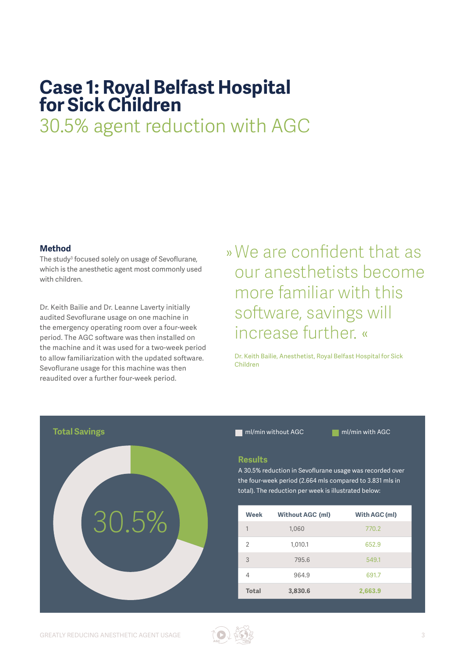### **Case 1: Royal Belfast Hospital for Sick Children**

30.5% agent reduction with AGC

#### **Method**

The study<sup>3</sup> focused solely on usage of Sevoflurane, which is the anesthetic agent most commonly used with children.

Dr. Keith Bailie and Dr. Leanne Laverty initially audited Sevoflurane usage on one machine in the emergency operating room over a four-week period. The AGC software was then installed on the machine and it was used for a two-week period to allow familiarization with the updated software. Sevoflurane usage for this machine was then reaudited over a further four-week period.

»We are confident that as our anesthetists become more familiar with this software, savings will increase further. «

Dr. Keith Bailie, Anesthetist, Royal Belfast Hospital for Sick Children



### **Results**

A 30.5% reduction in Sevoflurane usage was recorded over the four-week period (2.664 mls compared to 3.831 mls in total). The reduction per week is illustrated below:

| Week         | <b>Without AGC (ml)</b> | With AGC (ml) |
|--------------|-------------------------|---------------|
| 1            | 1,060                   | 770.2         |
| 2            | 1,010.1                 | 652.9         |
| 3            | 795.6                   | 549.1         |
| 4            | 964.9                   | 691.7         |
| <b>Total</b> | 3,830.6                 | 2,663.9       |

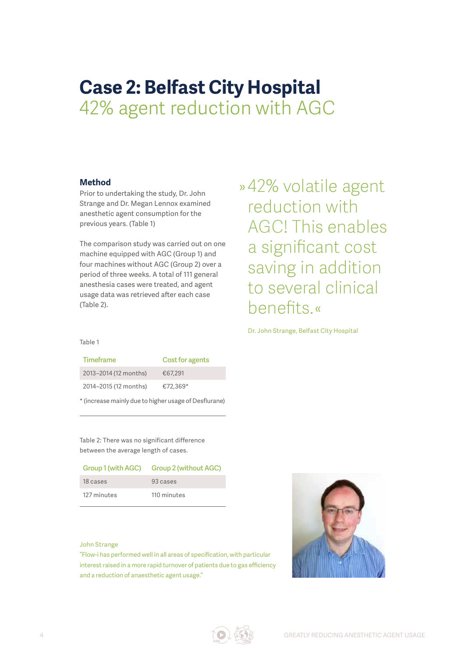## **Case 2: Belfast City Hospital**  42% agent reduction with AGC

### **Method**

Prior to undertaking the study, Dr. John Strange and Dr. Megan Lennox examined anesthetic agent consumption for the previous years. (Table 1)

The comparison study was carried out on one machine equipped with AGC (Group 1) and four machines without AGC (Group 2) over a period of three weeks. A total of 111 general anesthesia cases were treated, and agent usage data was retrieved after each case (Table 2).

»42% volatile agent reduction with AGC! This enables a significant cost saving in addition to several clinical benefits.«

Dr. John Strange, Belfast City Hospital

Table 1

| Timeframe                                             | Cost for agents |
|-------------------------------------------------------|-----------------|
| 2013-2014 (12 months)                                 | €67.291         |
| 2014-2015 (12 months)                                 | €72.369*        |
| * (increase mainly due to higher usage of Desflurane) |                 |

Table 2: There was no significant difference between the average length of cases.

| Group 1 (with AGC) | <b>Group 2 (without AGC)</b> |
|--------------------|------------------------------|
| 18 cases           | 93 cases                     |
| 127 minutes        | 110 minutes                  |

#### John Strange

"Flow-i has performed well in all areas of specification, with particular interest raised in a more rapid turnover of patients due to gas efficiency and a reduction of anaesthetic agent usage."

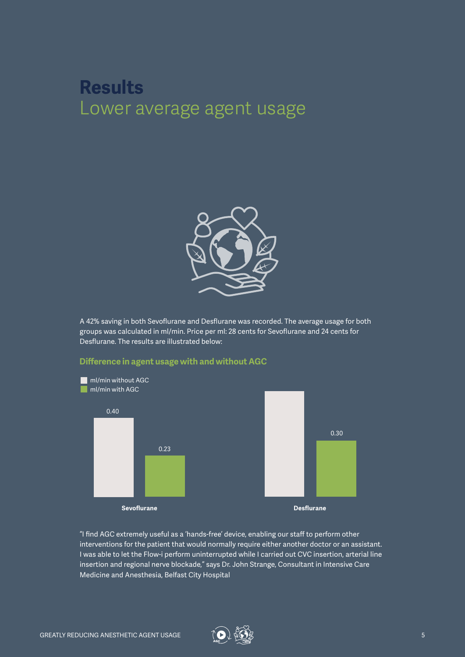### **Results** Lower average agent usage



A 42% saving in both Sevoflurane and Desflurane was recorded. The average usage for both groups was calculated in ml/min. Price per ml: 28 cents for Sevoflurane and 24 cents for Desflurane. The results are illustrated below:



### **Difference in agent usage with and without AGC**

"I find AGC extremely useful as a 'hands-free' device, enabling our staff to perform other interventions for the patient that would normally require either another doctor or an assistant. I was able to let the Flow-i perform uninterrupted while I carried out CVC insertion, arterial line insertion and regional nerve blockade," says Dr. John Strange, Consultant in Intensive Care Medicine and Anesthesia, Belfast City Hospital

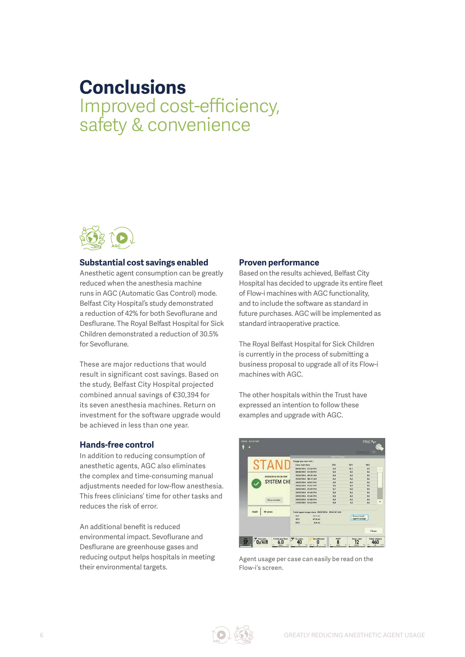### **Conclusions** Improved cost-efficiency, safety & convenience



#### **Substantial cost savings enabled**

Anesthetic agent consumption can be greatly reduced when the anesthesia machine runs in AGC (Automatic Gas Control) mode. Belfast City Hospital's study demonstrated a reduction of 42% for both Sevoflurane and Desflurane. The Royal Belfast Hospital for Sick Children demonstrated a reduction of 30.5% for Sevoflurane.

These are major reductions that would result in significant cost savings. Based on the study, Belfast City Hospital projected combined annual savings of €30,394 for its seven anesthesia machines. Return on investment for the software upgrade would be achieved in less than one year.

### **Hands-free control**

In addition to reducing consumption of anesthetic agents, AGC also eliminates the complex and time-consuming manual adjustments needed for low-flow anesthesia. This frees clinicians' time for other tasks and reduces the risk of error.

An additional benefit is reduced environmental impact. Sevoflurane and Desflurane are greenhouse gases and reducing output helps hospitals in meeting their environmental targets.

#### **Proven performance**

Based on the results achieved, Belfast City Hospital has decided to upgrade its entire fleet of Flow-i machines with AGC functionality, and to include the software as standard in future purchases. AGC will be implemented as standard intraoperative practice.

The Royal Belfast Hospital for Sick Children is currently in the process of submitting a business proposal to upgrade all of its Flow-i machines with AGC.

The other hospitals within the Trust have expressed an intention to follow these examples and upgrade with AGC.



Agent usage per case can easily be read on the Flow-i's screen.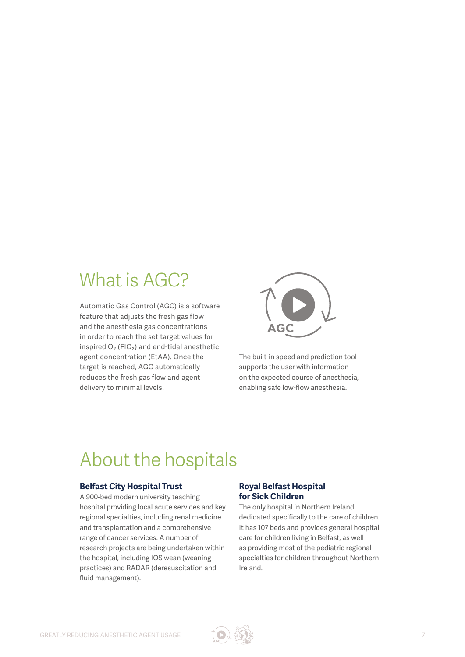## What is AGC?

Automatic Gas Control (AGC) is a software feature that adjusts the fresh gas flow and the anesthesia gas concentrations in order to reach the set target values for inspired  $O_2$  (FIO<sub>2</sub>) and end-tidal anesthetic agent concentration (EtAA). Once the target is reached, AGC automatically reduces the fresh gas flow and agent delivery to minimal levels.



The built-in speed and prediction tool supports the user with information on the expected course of anesthesia, enabling safe low-flow anesthesia.

### About the hospitals

### **Belfast City Hospital Trust**

A 900-bed modern university teaching hospital providing local acute services and key regional specialties, including renal medicine and transplantation and a comprehensive range of cancer services. A number of research projects are being undertaken within the hospital, including IOS wean (weaning practices) and RADAR (deresuscitation and fluid management).

### **Royal Belfast Hospital for Sick Children**

The only hospital in Northern Ireland dedicated specifically to the care of children. It has 107 beds and provides general hospital care for children living in Belfast, as well as providing most of the pediatric regional specialties for children throughout Northern Ireland.